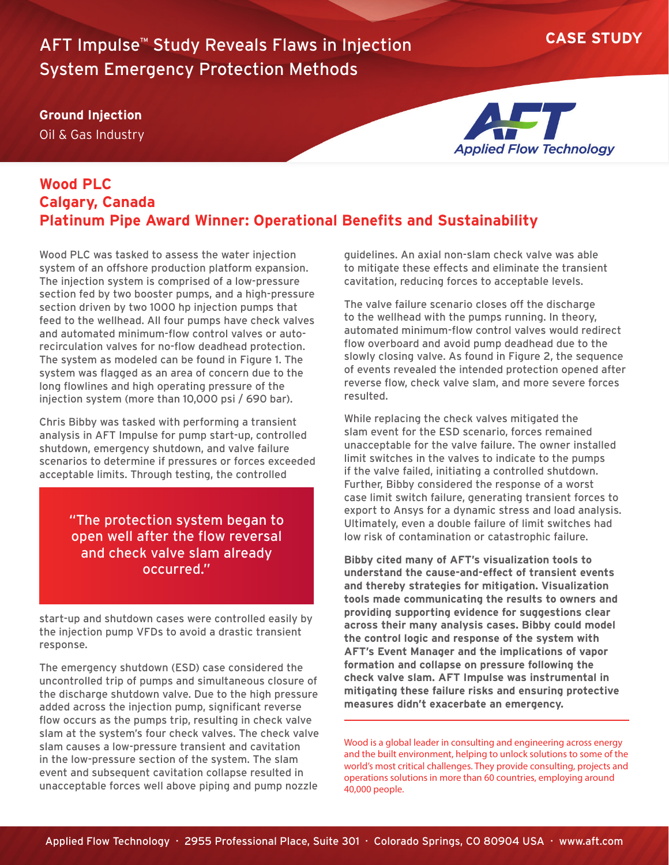## **CASE STUDY** AFT Impulse™ Study Reveals Flaws in Injection System Emergency Protection Methods

**Ground Injection**

Oil & Gas Industry



## **Wood PLC Calgary, Canada Platinum Pipe Award Winner: Operational Benefits and Sustainability**

Wood PLC was tasked to assess the water injection system of an offshore production platform expansion. The injection system is comprised of a low-pressure section fed by two booster pumps, and a high-pressure section driven by two 1000 hp injection pumps that feed to the wellhead. All four pumps have check valves and automated minimum-flow control valves or autorecirculation valves for no-flow deadhead protection. The system as modeled can be found in Figure 1. The system was flagged as an area of concern due to the long flowlines and high operating pressure of the injection system (more than 10,000 psi / 690 bar).

Chris Bibby was tasked with performing a transient analysis in AFT Impulse for pump start-up, controlled shutdown, emergency shutdown, and valve failure scenarios to determine if pressures or forces exceeded acceptable limits. Through testing, the controlled

> "The protection system began to open well after the flow reversal and check valve slam already occurred."

start-up and shutdown cases were controlled easily by the injection pump VFDs to avoid a drastic transient response.

The emergency shutdown (ESD) case considered the uncontrolled trip of pumps and simultaneous closure of the discharge shutdown valve. Due to the high pressure added across the injection pump, significant reverse flow occurs as the pumps trip, resulting in check valve slam at the system's four check valves. The check valve slam causes a low-pressure transient and cavitation in the low-pressure section of the system. The slam event and subsequent cavitation collapse resulted in unacceptable forces well above piping and pump nozzle

guidelines. An axial non-slam check valve was able to mitigate these effects and eliminate the transient cavitation, reducing forces to acceptable levels.

The valve failure scenario closes off the discharge to the wellhead with the pumps running. In theory, automated minimum-flow control valves would redirect flow overboard and avoid pump deadhead due to the slowly closing valve. As found in Figure 2, the sequence of events revealed the intended protection opened after reverse flow, check valve slam, and more severe forces resulted.

While replacing the check valves mitigated the slam event for the ESD scenario, forces remained unacceptable for the valve failure. The owner installed limit switches in the valves to indicate to the pumps if the valve failed, initiating a controlled shutdown. Further, Bibby considered the response of a worst case limit switch failure, generating transient forces to export to Ansys for a dynamic stress and load analysis. Ultimately, even a double failure of limit switches had low risk of contamination or catastrophic failure.

**Bibby cited many of AFT's visualization tools to understand the cause-and-effect of transient events and thereby strategies for mitigation. Visualization tools made communicating the results to owners and providing supporting evidence for suggestions clear across their many analysis cases. Bibby could model the control logic and response of the system with AFT's Event Manager and the implications of vapor formation and collapse on pressure following the check valve slam. AFT Impulse was instrumental in mitigating these failure risks and ensuring protective measures didn't exacerbate an emergency.**

Wood is a global leader in consulting and engineering across energy and the built environment, helping to unlock solutions to some of the world's most critical challenges. They provide consulting, projects and operations solutions in more than 60 countries, employing around 40,000 people.